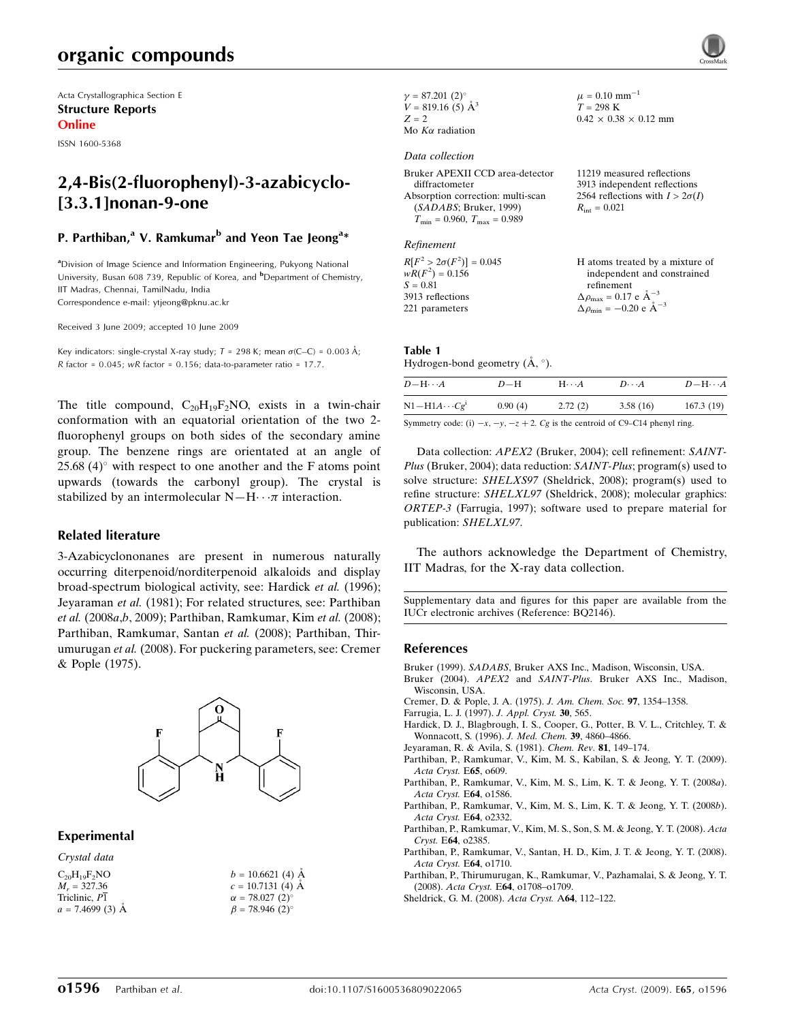# organic compounds

Acta Crystallographica Section E Structure Reports Online

ISSN 1600-5368

# 2,4-Bis(2-fluorophenyl)-3-azabicyclo- [3.3.1]nonan-9-one

## P. Parthiban,<sup>a</sup> V. Ramkumar<sup>b</sup> and Yeon Tae Jeong<sup>a</sup>\*

<sup>a</sup>Division of Image Science and Information Engineering, Pukyong National University, Busan 608 739, Republic of Korea, and **b**Department of Chemistry, IIT Madras, Chennai, TamilNadu, India Correspondence e-mail: ytjeong@pknu.ac.kr

Received 3 June 2009; accepted 10 June 2009

Key indicators: single-crystal X-ray study;  $T = 298$  K; mean  $\sigma$ (C–C) = 0.003 Å;  $R$  factor = 0.045; wR factor = 0.156; data-to-parameter ratio = 17.7.

The title compound,  $C_{20}H_{19}F_2NO$ , exists in a twin-chair conformation with an equatorial orientation of the two 2 fluorophenyl groups on both sides of the secondary amine group. The benzene rings are orientated at an angle of  $25.68$  (4) $^{\circ}$  with respect to one another and the F atoms point upwards (towards the carbonyl group). The crystal is stabilized by an intermolecular  $N-H \cdots \pi$  interaction.

#### Related literature

3-Azabicyclononanes are present in numerous naturally occurring diterpenoid/norditerpenoid alkaloids and display broad-spectrum biological activity, see: Hardick et al. (1996); Jeyaraman et al. (1981); For related structures, see: Parthiban et al. (2008a,b, 2009); Parthiban, Ramkumar, Kim et al. (2008); Parthiban, Ramkumar, Santan et al. (2008); Parthiban, Thirumurugan et al. (2008). For puckering parameters, see: Cremer & Pople (1975).



#### Experimental

Crystal data

| $C_{20}H_{19}F_2NO$ |
|---------------------|
| $M_r = 327.36$      |
| Triclinic, P1       |
| $a = 7.4699(3)$ A   |

| $b = 10.6621(4)$ Å                |
|-----------------------------------|
| $c = 10.7131(4)$ A                |
| $\alpha = 78.027(2)^{\circ}$      |
| $\beta = 78.946$ (2) <sup>o</sup> |

| $\gamma = 87.201(2)$ °  |
|-------------------------|
| $V = 819.16(5)$ $\AA^3$ |
| $Z = 2$                 |
| Mo $K\alpha$ radiation  |

#### Data collection

Bruker APEXII CCD area-detector diffractometer Absorption correction: multi-scan (SADABS; Bruker, 1999)  $T_{\text{min}} = 0.960, T_{\text{max}} = 0.989$ 

#### Refinement

 $R[F^2 > 2\sigma(F^2)] = 0.045$  $wR(F^2) = 0.156$  $S = 0.81$ 3913 reflections 221 parameters H atoms treated by a mixture of independent and constrained refinement  $\Delta \rho_{\text{max}} = 0.17 \text{ e } \text{\AA}_{\text{\tiny s}}^{-3}$  $\Delta \rho_{\rm min} = -0.20 \text{ e } \text{\AA}^{-3}$ 

# Table 1

Hydrogen-bond geometry  $(\AA, \degree)$ .

| $D$ -H $\cdots$ A     | $D-H$   | $H\cdot\cdot\cdot A$ | $D\cdots A$ | $D - H \cdots A$ |
|-----------------------|---------|----------------------|-------------|------------------|
| $N1-H1A\cdots Cg^{i}$ | 0.90(4) | 2.72(2)              | 3.58(16)    | 167.3(19)        |
|                       |         |                      |             |                  |

 $\mu = 0.10$  mm<sup>-1</sup>  $T = 298 \text{ K}$ 

 $R_{\text{int}} = 0.021$ 

 $0.42 \times 0.38 \times 0.12$  mm

11219 measured reflections 3913 independent reflections 2564 reflections with  $I > 2\sigma(I)$ 

Symmetry code: (i)  $-x$ ,  $-y$ ,  $-z + 2$ . Cg is the centroid of C9–C14 phenyl ring.

Data collection: APEX2 (Bruker, 2004); cell refinement: SAINT-Plus (Bruker, 2004); data reduction: SAINT-Plus; program(s) used to solve structure: SHELXS97 (Sheldrick, 2008); program(s) used to refine structure: SHELXL97 (Sheldrick, 2008); molecular graphics: ORTEP-3 (Farrugia, 1997); software used to prepare material for publication: SHELXL97.

The authors acknowledge the Department of Chemistry, IIT Madras, for the X-ray data collection.

Supplementary data and figures for this paper are available from the IUCr electronic archives (Reference: BQ2146).

#### References

- Bruker (1999). SADABS[, Bruker AXS Inc., Madison, Wisconsin, USA.](http://scripts.iucr.org/cgi-bin/cr.cgi?rm=pdfbb&cnor=bq2146&bbid=BB1)
- Bruker (2004). APEX2 and SAINT-Plus[. Bruker AXS Inc., Madison,](http://scripts.iucr.org/cgi-bin/cr.cgi?rm=pdfbb&cnor=bq2146&bbid=BB2) [Wisconsin, USA.](http://scripts.iucr.org/cgi-bin/cr.cgi?rm=pdfbb&cnor=bq2146&bbid=BB2)
- [Cremer, D. & Pople, J. A. \(1975\).](http://scripts.iucr.org/cgi-bin/cr.cgi?rm=pdfbb&cnor=bq2146&bbid=BB3) J. Am. Chem. Soc. 97, 1354–1358.
- [Farrugia, L. J. \(1997\).](http://scripts.iucr.org/cgi-bin/cr.cgi?rm=pdfbb&cnor=bq2146&bbid=BB4) J. Appl. Cryst. 30, 565.
- [Hardick, D. J., Blagbrough, I. S., Cooper, G., Potter, B. V. L., Critchley, T. &](http://scripts.iucr.org/cgi-bin/cr.cgi?rm=pdfbb&cnor=bq2146&bbid=BB5) [Wonnacott, S. \(1996\).](http://scripts.iucr.org/cgi-bin/cr.cgi?rm=pdfbb&cnor=bq2146&bbid=BB5) J. Med. Chem. 39, 4860–4866.
- [Jeyaraman, R. & Avila, S. \(1981\).](http://scripts.iucr.org/cgi-bin/cr.cgi?rm=pdfbb&cnor=bq2146&bbid=BB6) Chem. Rev. 81, 149–174.
- [Parthiban, P., Ramkumar, V., Kim, M. S., Kabilan, S. & Jeong, Y. T. \(2009\).](http://scripts.iucr.org/cgi-bin/cr.cgi?rm=pdfbb&cnor=bq2146&bbid=BB7) [Acta Cryst.](http://scripts.iucr.org/cgi-bin/cr.cgi?rm=pdfbb&cnor=bq2146&bbid=BB7) E65, o609.
- [Parthiban, P., Ramkumar, V., Kim, M. S., Lim, K. T. & Jeong, Y. T. \(2008](http://scripts.iucr.org/cgi-bin/cr.cgi?rm=pdfbb&cnor=bq2146&bbid=BB8)a). [Acta Cryst.](http://scripts.iucr.org/cgi-bin/cr.cgi?rm=pdfbb&cnor=bq2146&bbid=BB8) E64, o1586.
- [Parthiban, P., Ramkumar, V., Kim, M. S., Lim, K. T. & Jeong, Y. T. \(2008](http://scripts.iucr.org/cgi-bin/cr.cgi?rm=pdfbb&cnor=bq2146&bbid=BB9)b). [Acta Cryst.](http://scripts.iucr.org/cgi-bin/cr.cgi?rm=pdfbb&cnor=bq2146&bbid=BB9) E64, o2332.
- [Parthiban, P., Ramkumar, V., Kim, M. S., Son, S. M. & Jeong, Y. T. \(2008\).](http://scripts.iucr.org/cgi-bin/cr.cgi?rm=pdfbb&cnor=bq2146&bbid=BB10) Acta Cryst. E64[, o2385.](http://scripts.iucr.org/cgi-bin/cr.cgi?rm=pdfbb&cnor=bq2146&bbid=BB10)
- [Parthiban, P., Ramkumar, V., Santan, H. D., Kim, J. T. & Jeong, Y. T. \(2008\).](http://scripts.iucr.org/cgi-bin/cr.cgi?rm=pdfbb&cnor=bq2146&bbid=BB11) [Acta Cryst.](http://scripts.iucr.org/cgi-bin/cr.cgi?rm=pdfbb&cnor=bq2146&bbid=BB11) E64, o1710.
- [Parthiban, P., Thirumurugan, K., Ramkumar, V., Pazhamalai, S. & Jeong, Y. T.](http://scripts.iucr.org/cgi-bin/cr.cgi?rm=pdfbb&cnor=bq2146&bbid=BB12) (2008). Acta Cryst. E64[, o1708–o1709.](http://scripts.iucr.org/cgi-bin/cr.cgi?rm=pdfbb&cnor=bq2146&bbid=BB12)
- [Sheldrick, G. M. \(2008\).](http://scripts.iucr.org/cgi-bin/cr.cgi?rm=pdfbb&cnor=bq2146&bbid=BB13) Acta Cryst. A64, 112–122.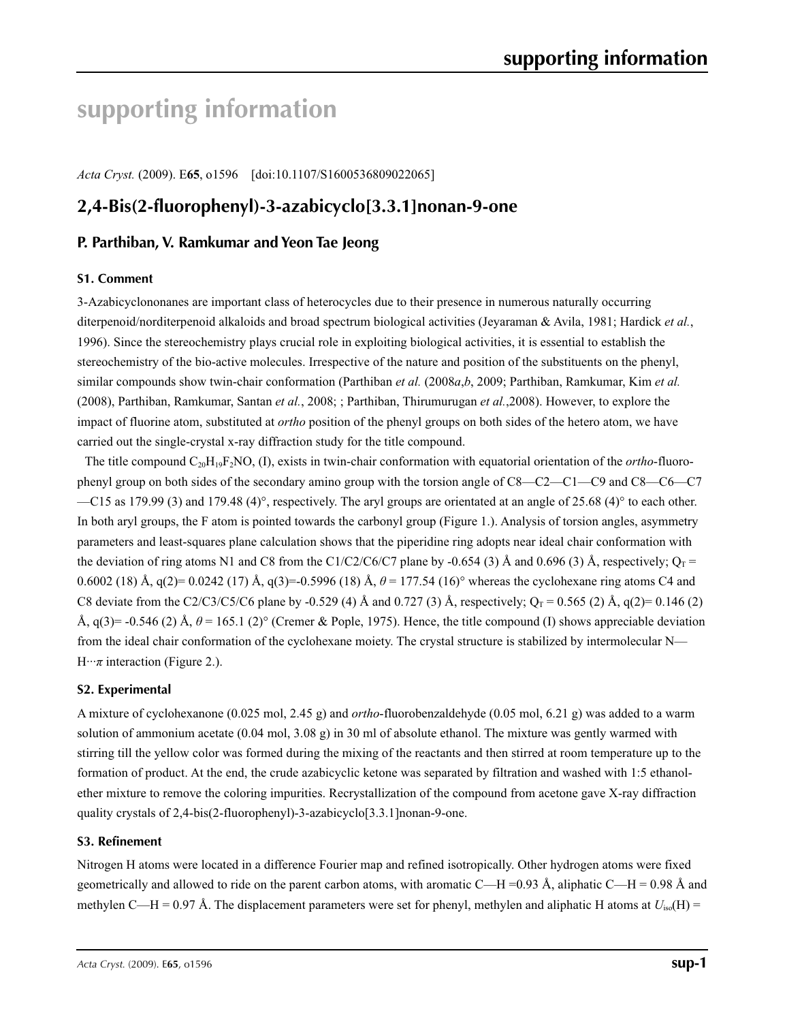# **supporting information**

*Acta Cryst.* (2009). E**65**, o1596 [doi:10.1107/S1600536809022065]

# **2,4-Bis(2-fluorophenyl)-3-azabicyclo[3.3.1]nonan-9-one**

## **P. Parthiban, V. Ramkumar and Yeon Tae Jeong**

### **S1. Comment**

3-Azabicyclononanes are important class of heterocycles due to their presence in numerous naturally occurring diterpenoid/norditerpenoid alkaloids and broad spectrum biological activities (Jeyaraman & Avila, 1981; Hardick *et al.*, 1996). Since the stereochemistry plays crucial role in exploiting biological activities, it is essential to establish the stereochemistry of the bio-active molecules. Irrespective of the nature and position of the substituents on the phenyl, similar compounds show twin-chair conformation (Parthiban *et al.* (2008*a*,*b*, 2009; Parthiban, Ramkumar, Kim *et al.* (2008), Parthiban, Ramkumar, Santan *et al.*, 2008; ; Parthiban, Thirumurugan *et al.*,2008). However, to explore the impact of fluorine atom, substituted at *ortho* position of the phenyl groups on both sides of the hetero atom, we have carried out the single-crystal x-ray diffraction study for the title compound.

The title compound C20H19F2NO, (I), exists in twin-chair conformation with equatorial orientation of the *ortho*-fluorophenyl group on both sides of the secondary amino group with the torsion angle of C8—C2—C1—C9 and C8—C6—C7 —C15 as 179.99 (3) and 179.48 (4)°, respectively. The aryl groups are orientated at an angle of 25.68 (4)° to each other. In both aryl groups, the F atom is pointed towards the carbonyl group (Figure 1.). Analysis of torsion angles, asymmetry parameters and least-squares plane calculation shows that the piperidine ring adopts near ideal chair conformation with the deviation of ring atoms N1 and C8 from the C1/C2/C6/C7 plane by -0.654 (3) Å and 0.696 (3) Å, respectively;  $O_T$  = 0.6002 (18) Å,  $q(2) = 0.0242$  (17) Å,  $q(3) = 0.5996$  (18) Å,  $\theta = 177.54$  (16)° whereas the cyclohexane ring atoms C4 and C8 deviate from the C2/C3/C5/C6 plane by -0.529 (4) Å and 0.727 (3) Å, respectively;  $Q_T = 0.565$  (2) Å, q(2)= 0.146 (2) Å,  $q(3)$ = -0.546 (2) Å,  $\theta$  = 165.1 (2)° (Cremer & Pople, 1975). Hence, the title compound (I) shows appreciable deviation from the ideal chair conformation of the cyclohexane moiety. The crystal structure is stabilized by intermolecular N—  $H \cdot \cdot \pi$  interaction (Figure 2.).

### **S2. Experimental**

A mixture of cyclohexanone (0.025 mol, 2.45 g) and *ortho*-fluorobenzaldehyde (0.05 mol, 6.21 g) was added to a warm solution of ammonium acetate (0.04 mol, 3.08 g) in 30 ml of absolute ethanol. The mixture was gently warmed with stirring till the yellow color was formed during the mixing of the reactants and then stirred at room temperature up to the formation of product. At the end, the crude azabicyclic ketone was separated by filtration and washed with 1:5 ethanolether mixture to remove the coloring impurities. Recrystallization of the compound from acetone gave X-ray diffraction quality crystals of 2,4-bis(2-fluorophenyl)-3-azabicyclo[3.3.1]nonan-9-one.

#### **S3. Refinement**

Nitrogen H atoms were located in a difference Fourier map and refined isotropically. Other hydrogen atoms were fixed geometrically and allowed to ride on the parent carbon atoms, with aromatic C—H =0.93 Å, aliphatic C—H = 0.98 Å and methylen C—H = 0.97 Å. The displacement parameters were set for phenyl, methylen and aliphatic H atoms at  $U_{iso}(H)$  =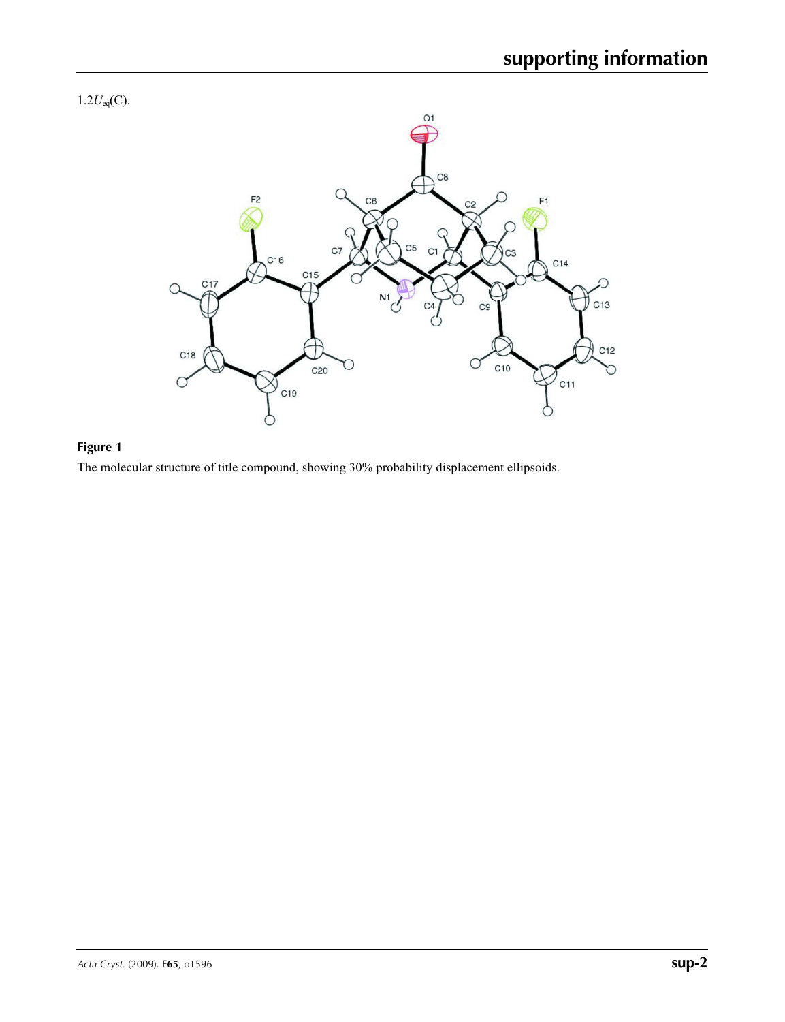



# **Figure 1**

The molecular structure of title compound, showing 30% probability displacement ellipsoids.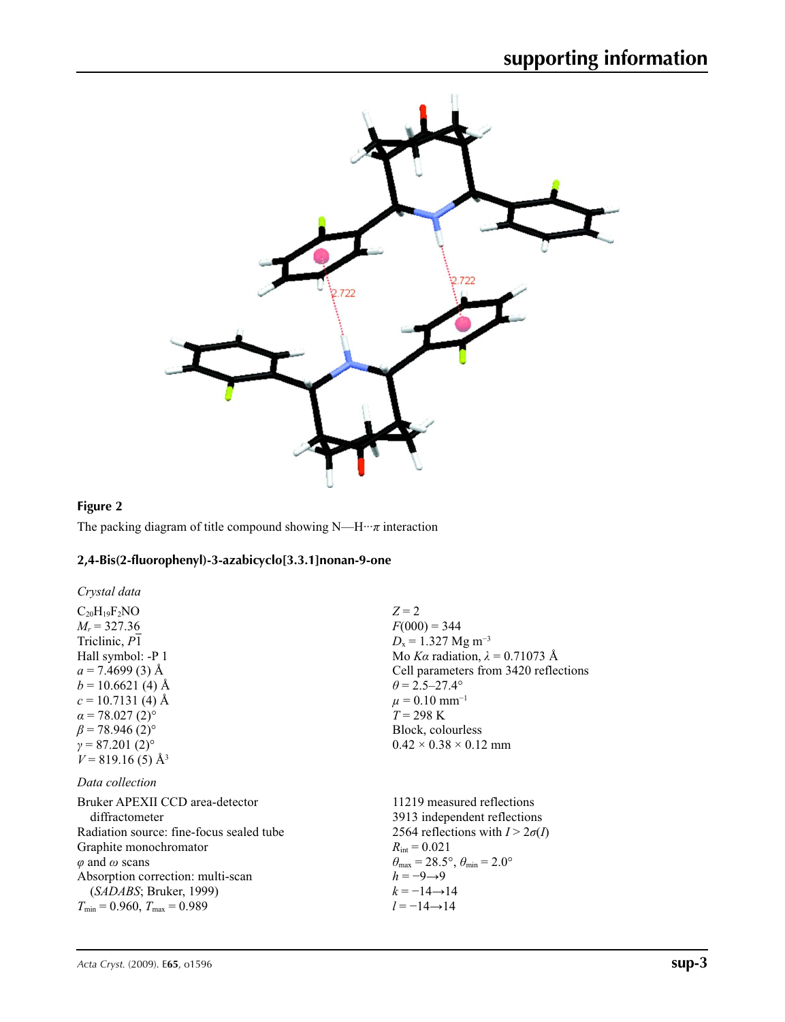

# **Figure 2**

The packing diagram of title compound showing N—H···*π* interaction

## **2,4-Bis(2-fluorophenyl)-3-azabicyclo[3.3.1]nonan-9-one**

| Crystal data                                                                                                                                                                                                                                                     |                                                                                                                                                                                                                                                                                            |
|------------------------------------------------------------------------------------------------------------------------------------------------------------------------------------------------------------------------------------------------------------------|--------------------------------------------------------------------------------------------------------------------------------------------------------------------------------------------------------------------------------------------------------------------------------------------|
| $C_{20}H_{19}F_2NO$<br>$M_r = 327.36$<br>Triclinic, P1                                                                                                                                                                                                           | $Z=2$<br>$F(000) = 344$<br>$D_x = 1.327$ Mg m <sup>-3</sup><br>Mo Ka radiation, $\lambda = 0.71073$ Å                                                                                                                                                                                      |
| Hall symbol: -P 1<br>$a = 7.4699(3)$ Å<br>$b = 10.6621(4)$ Å<br>$c = 10.7131(4)$ Å                                                                                                                                                                               | Cell parameters from 3420 reflections<br>$\theta = 2.5 - 27.4^{\circ}$<br>$\mu = 0.10$ mm <sup>-1</sup>                                                                                                                                                                                    |
| $\alpha$ = 78.027 (2) <sup>o</sup><br>$\beta$ = 78.946 (2) <sup>o</sup><br>$\gamma = 87.201(2)$ °<br>$V = 819.16(5)$ Å <sup>3</sup>                                                                                                                              | $T = 298 \text{ K}$<br>Block, colourless<br>$0.42 \times 0.38 \times 0.12$ mm                                                                                                                                                                                                              |
| Data collection                                                                                                                                                                                                                                                  |                                                                                                                                                                                                                                                                                            |
| Bruker APEXII CCD area-detector<br>diffractometer<br>Radiation source: fine-focus sealed tube<br>Graphite monochromator<br>$\varphi$ and $\omega$ scans<br>Absorption correction: multi-scan<br>(SADABS; Bruker, 1999)<br>$T_{\min}$ = 0.960, $T_{\max}$ = 0.989 | 11219 measured reflections<br>3913 independent reflections<br>2564 reflections with $I > 2\sigma(I)$<br>$R_{\rm int} = 0.021$<br>$\theta_{\text{max}} = 28.5^{\circ}, \theta_{\text{min}} = 2.0^{\circ}$<br>$h = -9 \rightarrow 9$<br>$k = -14 \rightarrow 14$<br>$l = -14 \rightarrow 14$ |
|                                                                                                                                                                                                                                                                  |                                                                                                                                                                                                                                                                                            |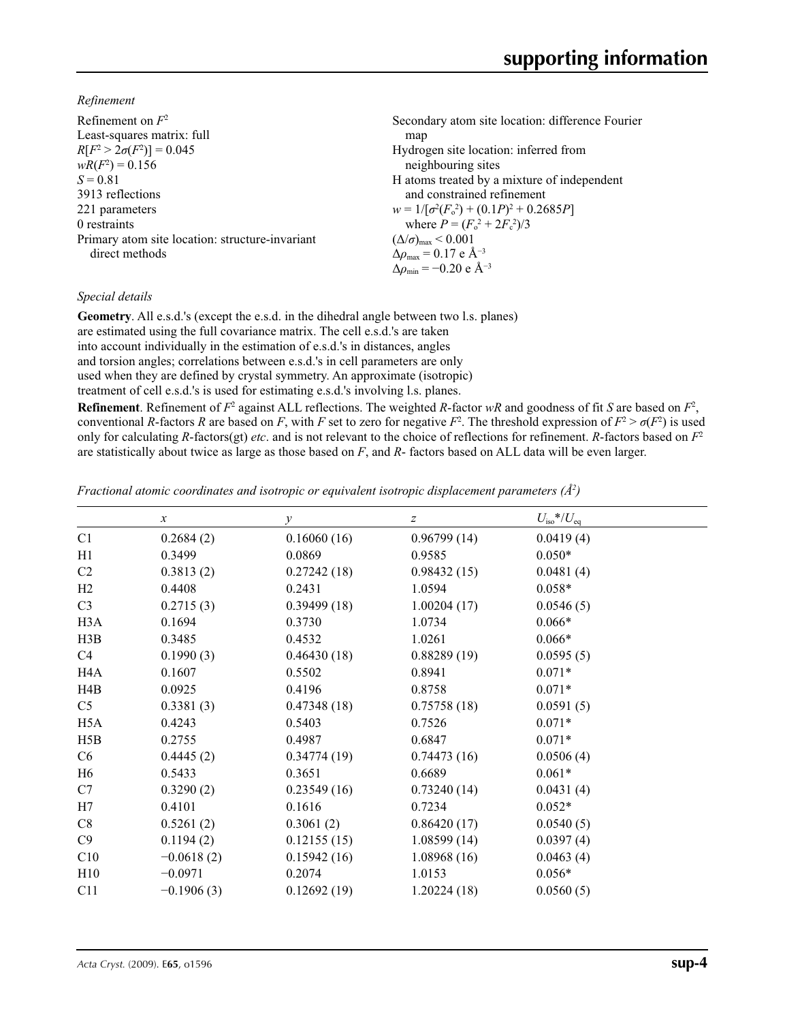*Refinement*

| Refinement on $F^2$                             | Secondary atom site location: difference Fourier             |
|-------------------------------------------------|--------------------------------------------------------------|
| Least-squares matrix: full                      | map                                                          |
| $R[F^2 > 2\sigma(F^2)] = 0.045$                 | Hydrogen site location: inferred from                        |
| $wR(F^2) = 0.156$                               | neighbouring sites                                           |
| $S = 0.81$                                      | H atoms treated by a mixture of independent                  |
| 3913 reflections                                | and constrained refinement                                   |
| 221 parameters                                  | $w = 1/[\sigma^2(F_0^2) + (0.1P)^2 + 0.2685P]$               |
| 0 restraints                                    | where $P = (F_0^2 + 2F_c^2)/3$                               |
| Primary atom site location: structure-invariant | $(\Delta/\sigma)_{\text{max}}$ < 0.001                       |
| direct methods                                  | $\Delta \rho_{\text{max}} = 0.17 \text{ e } \text{\AA}^{-3}$ |
|                                                 | $\Delta \rho_{\rm min} = -0.20 \text{ e A}^{-3}$             |

### *Special details*

**Geometry**. All e.s.d.'s (except the e.s.d. in the dihedral angle between two l.s. planes) are estimated using the full covariance matrix. The cell e.s.d.'s are taken into account individually in the estimation of e.s.d.'s in distances, angles and torsion angles; correlations between e.s.d.'s in cell parameters are only used when they are defined by crystal symmetry. An approximate (isotropic) treatment of cell e.s.d.'s is used for estimating e.s.d.'s involving l.s. planes.

**Refinement**. Refinement of  $F^2$  against ALL reflections. The weighted *R*-factor  $wR$  and goodness of fit *S* are based on  $F^2$ , conventional *R*-factors *R* are based on *F*, with *F* set to zero for negative *F*<sup>2</sup>. The threshold expression of  $F^2 > \sigma(F^2)$  is used only for calculating *R*-factors(gt) *etc*. and is not relevant to the choice of reflections for refinement. *R*-factors based on *F*<sup>2</sup> are statistically about twice as large as those based on *F*, and *R*- factors based on ALL data will be even larger.

*Fractional atomic coordinates and isotropic or equivalent isotropic displacement parameters (Å<sup>2</sup>)* 

|                  | $\boldsymbol{x}$ | $\mathcal{Y}$ | $\boldsymbol{Z}$ | $U_{\rm iso}*/U_{\rm eq}$ |
|------------------|------------------|---------------|------------------|---------------------------|
| C1               | 0.2684(2)        | 0.16060(16)   | 0.96799(14)      | 0.0419(4)                 |
| H1               | 0.3499           | 0.0869        | 0.9585           | $0.050*$                  |
| C <sub>2</sub>   | 0.3813(2)        | 0.27242(18)   | 0.98432(15)      | 0.0481(4)                 |
| H2               | 0.4408           | 0.2431        | 1.0594           | $0.058*$                  |
| C <sub>3</sub>   | 0.2715(3)        | 0.39499(18)   | 1.00204(17)      | 0.0546(5)                 |
| H <sub>3</sub> A | 0.1694           | 0.3730        | 1.0734           | $0.066*$                  |
| H3B              | 0.3485           | 0.4532        | 1.0261           | $0.066*$                  |
| C4               | 0.1990(3)        | 0.46430(18)   | 0.88289(19)      | 0.0595(5)                 |
| H4A              | 0.1607           | 0.5502        | 0.8941           | $0.071*$                  |
| H4B              | 0.0925           | 0.4196        | 0.8758           | $0.071*$                  |
| C5               | 0.3381(3)        | 0.47348(18)   | 0.75758(18)      | 0.0591(5)                 |
| H <sub>5</sub> A | 0.4243           | 0.5403        | 0.7526           | $0.071*$                  |
| H5B              | 0.2755           | 0.4987        | 0.6847           | $0.071*$                  |
| C6               | 0.4445(2)        | 0.34774(19)   | 0.74473(16)      | 0.0506(4)                 |
| H6               | 0.5433           | 0.3651        | 0.6689           | $0.061*$                  |
| C7               | 0.3290(2)        | 0.23549(16)   | 0.73240(14)      | 0.0431(4)                 |
| H7               | 0.4101           | 0.1616        | 0.7234           | $0.052*$                  |
| C8               | 0.5261(2)        | 0.3061(2)     | 0.86420(17)      | 0.0540(5)                 |
| C9               | 0.1194(2)        | 0.12155(15)   | 1.08599(14)      | 0.0397(4)                 |
| C10              | $-0.0618(2)$     | 0.15942(16)   | 1.08968(16)      | 0.0463(4)                 |
| H10              | $-0.0971$        | 0.2074        | 1.0153           | $0.056*$                  |
| C11              | $-0.1906(3)$     | 0.12692(19)   | 1.20224(18)      | 0.0560(5)                 |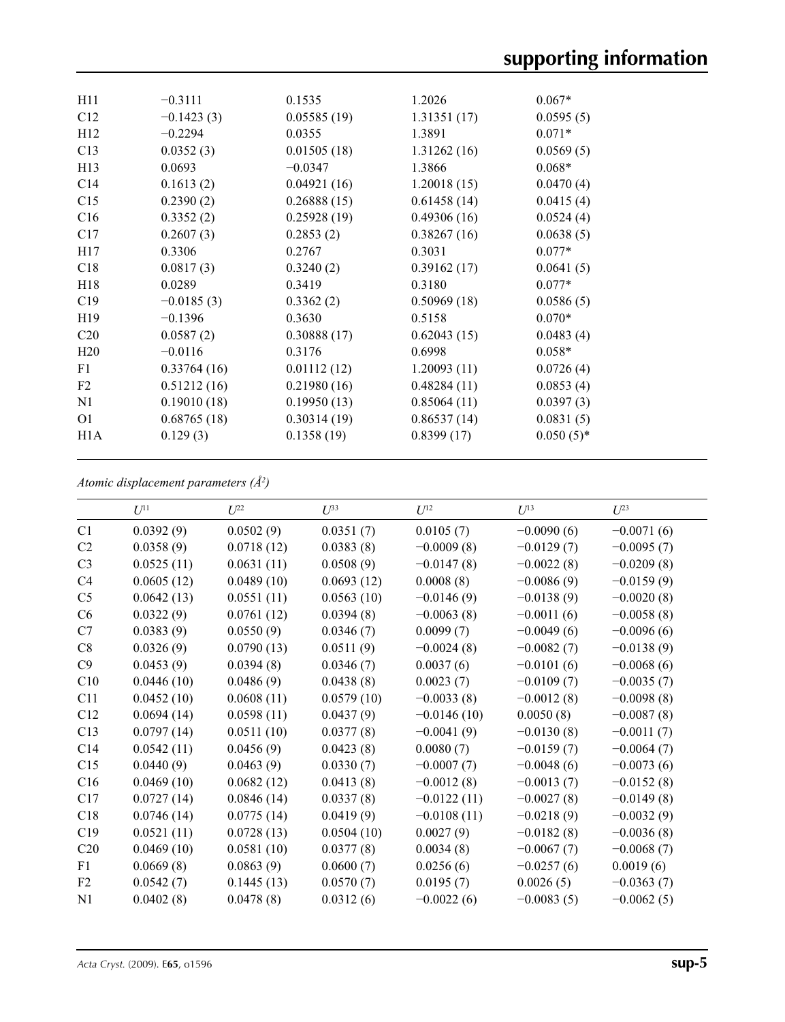| H11              | $-0.3111$    | 0.1535      | 1.2026      | $0.067*$     |
|------------------|--------------|-------------|-------------|--------------|
| C12              | $-0.1423(3)$ | 0.05585(19) | 1.31351(17) | 0.0595(5)    |
| H12              | $-0.2294$    | 0.0355      | 1.3891      | $0.071*$     |
| C13              | 0.0352(3)    | 0.01505(18) | 1.31262(16) | 0.0569(5)    |
| H13              | 0.0693       | $-0.0347$   | 1.3866      | $0.068*$     |
| C14              | 0.1613(2)    | 0.04921(16) | 1.20018(15) | 0.0470(4)    |
| C15              | 0.2390(2)    | 0.26888(15) | 0.61458(14) | 0.0415(4)    |
| C16              | 0.3352(2)    | 0.25928(19) | 0.49306(16) | 0.0524(4)    |
| C17              | 0.2607(3)    | 0.2853(2)   | 0.38267(16) | 0.0638(5)    |
| H17              | 0.3306       | 0.2767      | 0.3031      | $0.077*$     |
| C18              | 0.0817(3)    | 0.3240(2)   | 0.39162(17) | 0.0641(5)    |
| H18              | 0.0289       | 0.3419      | 0.3180      | $0.077*$     |
| C19              | $-0.0185(3)$ | 0.3362(2)   | 0.50969(18) | 0.0586(5)    |
| H <sub>19</sub>  | $-0.1396$    | 0.3630      | 0.5158      | $0.070*$     |
| C <sub>20</sub>  | 0.0587(2)    | 0.30888(17) | 0.62043(15) | 0.0483(4)    |
| H20              | $-0.0116$    | 0.3176      | 0.6998      | $0.058*$     |
| F1               | 0.33764(16)  | 0.01112(12) | 1.20093(11) | 0.0726(4)    |
| F <sub>2</sub>   | 0.51212(16)  | 0.21980(16) | 0.48284(11) | 0.0853(4)    |
| N1               | 0.19010(18)  | 0.19950(13) | 0.85064(11) | 0.0397(3)    |
| O <sub>1</sub>   | 0.68765(18)  | 0.30314(19) | 0.86537(14) | 0.0831(5)    |
| H <sub>1</sub> A | 0.129(3)     | 0.1358(19)  | 0.8399(17)  | $0.050(5)$ * |
|                  |              |             |             |              |

*Atomic displacement parameters (Å2 )*

|                | $U^{11}$   | $U^{22}$   | $U^{33}$   | $U^{12}$      | $U^{13}$     | $U^{23}$     |
|----------------|------------|------------|------------|---------------|--------------|--------------|
| C1             | 0.0392(9)  | 0.0502(9)  | 0.0351(7)  | 0.0105(7)     | $-0.0090(6)$ | $-0.0071(6)$ |
| C2             | 0.0358(9)  | 0.0718(12) | 0.0383(8)  | $-0.0009(8)$  | $-0.0129(7)$ | $-0.0095(7)$ |
| C <sub>3</sub> | 0.0525(11) | 0.0631(11) | 0.0508(9)  | $-0.0147(8)$  | $-0.0022(8)$ | $-0.0209(8)$ |
| C <sub>4</sub> | 0.0605(12) | 0.0489(10) | 0.0693(12) | 0.0008(8)     | $-0.0086(9)$ | $-0.0159(9)$ |
| C <sub>5</sub> | 0.0642(13) | 0.0551(11) | 0.0563(10) | $-0.0146(9)$  | $-0.0138(9)$ | $-0.0020(8)$ |
| C6             | 0.0322(9)  | 0.0761(12) | 0.0394(8)  | $-0.0063(8)$  | $-0.0011(6)$ | $-0.0058(8)$ |
| C7             | 0.0383(9)  | 0.0550(9)  | 0.0346(7)  | 0.0099(7)     | $-0.0049(6)$ | $-0.0096(6)$ |
| C8             | 0.0326(9)  | 0.0790(13) | 0.0511(9)  | $-0.0024(8)$  | $-0.0082(7)$ | $-0.0138(9)$ |
| C9             | 0.0453(9)  | 0.0394(8)  | 0.0346(7)  | 0.0037(6)     | $-0.0101(6)$ | $-0.0068(6)$ |
| C10            | 0.0446(10) | 0.0486(9)  | 0.0438(8)  | 0.0023(7)     | $-0.0109(7)$ | $-0.0035(7)$ |
| C11            | 0.0452(10) | 0.0608(11) | 0.0579(10) | $-0.0033(8)$  | $-0.0012(8)$ | $-0.0098(8)$ |
| C12            | 0.0694(14) | 0.0598(11) | 0.0437(9)  | $-0.0146(10)$ | 0.0050(8)    | $-0.0087(8)$ |
| C13            | 0.0797(14) | 0.0511(10) | 0.0377(8)  | $-0.0041(9)$  | $-0.0130(8)$ | $-0.0011(7)$ |
| C14            | 0.0542(11) | 0.0456(9)  | 0.0423(8)  | 0.0080(7)     | $-0.0159(7)$ | $-0.0064(7)$ |
| C15            | 0.0440(9)  | 0.0463(9)  | 0.0330(7)  | $-0.0007(7)$  | $-0.0048(6)$ | $-0.0073(6)$ |
| C16            | 0.0469(10) | 0.0682(12) | 0.0413(8)  | $-0.0012(8)$  | $-0.0013(7)$ | $-0.0152(8)$ |
| C17            | 0.0727(14) | 0.0846(14) | 0.0337(8)  | $-0.0122(11)$ | $-0.0027(8)$ | $-0.0149(8)$ |
| C18            | 0.0746(14) | 0.0775(14) | 0.0419(9)  | $-0.0108(11)$ | $-0.0218(9)$ | $-0.0032(9)$ |
| C19            | 0.0521(11) | 0.0728(13) | 0.0504(10) | 0.0027(9)     | $-0.0182(8)$ | $-0.0036(8)$ |
| C20            | 0.0469(10) | 0.0581(10) | 0.0377(8)  | 0.0034(8)     | $-0.0067(7)$ | $-0.0068(7)$ |
| F1             | 0.0669(8)  | 0.0863(9)  | 0.0600(7)  | 0.0256(6)     | $-0.0257(6)$ | 0.0019(6)    |
| F2             | 0.0542(7)  | 0.1445(13) | 0.0570(7)  | 0.0195(7)     | 0.0026(5)    | $-0.0363(7)$ |
| N1             | 0.0402(8)  | 0.0478(8)  | 0.0312(6)  | $-0.0022(6)$  | $-0.0083(5)$ | $-0.0062(5)$ |
|                |            |            |            |               |              |              |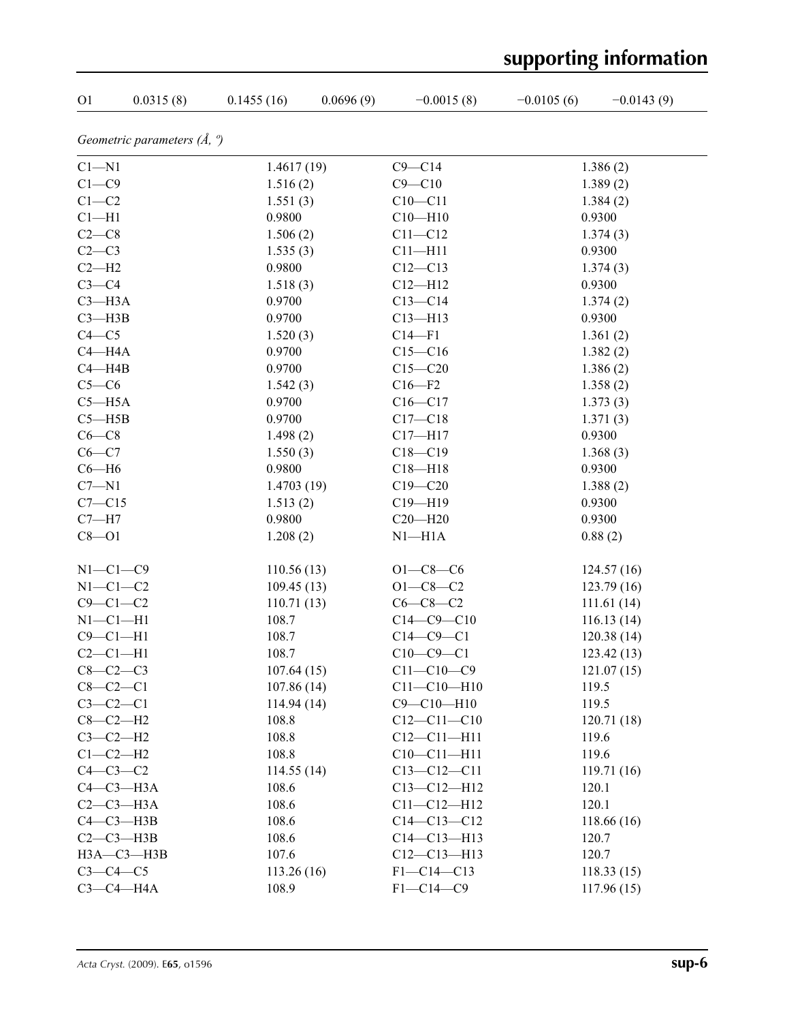| O <sub>1</sub> | 0.0315(8)                            | 0.1455(16) | 0.0696(9) | $-0.0015(8)$      | $-0.0105(6)$ | $-0.0143(9)$ |
|----------------|--------------------------------------|------------|-----------|-------------------|--------------|--------------|
|                | Geometric parameters $(\AA, \theta)$ |            |           |                   |              |              |
| $C1 - N1$      |                                      | 1.4617(19) |           | $C9 - C14$        |              | 1.386(2)     |
| $C1 - C9$      |                                      | 1.516(2)   |           | $C9 - C10$        |              | 1.389(2)     |
| $C1-C2$        |                                      | 1.551(3)   |           | $C10-C11$         |              | 1.384(2)     |
| $Cl-H1$        |                                      | 0.9800     |           | $C10 - H10$       |              | 0.9300       |
| $C2-C8$        |                                      | 1.506(2)   |           | $C11 - C12$       |              | 1.374(3)     |
| $C2-C3$        |                                      | 1.535(3)   |           | $C11 - H11$       |              | 0.9300       |
| $C2-H2$        |                                      | 0.9800     |           | $C12 - C13$       |              | 1.374(3)     |
| $C3-C4$        |                                      | 1.518(3)   |           | $C12 - H12$       |              | 0.9300       |
| $C3 - H3A$     |                                      | 0.9700     |           | $C13-C14$         |              | 1.374(2)     |
| $C3 - H3B$     |                                      | 0.9700     |           | $C13 - H13$       |              | 0.9300       |
| $C4 - C5$      |                                      | 1.520(3)   |           | $C14-F1$          |              | 1.361(2)     |
| $C4 - H4A$     |                                      | 0.9700     |           | $C15 - C16$       |              | 1.382(2)     |
| $C4 - H4B$     |                                      | 0.9700     |           | $C15 - C20$       |              | 1.386(2)     |
| $C5-C6$        |                                      | 1.542(3)   |           | $C16 - F2$        |              | 1.358(2)     |
| $C5 - H5A$     |                                      | 0.9700     |           | $C16-C17$         |              | 1.373(3)     |
| $C5 - H5B$     |                                      | 0.9700     |           | $C17 - C18$       |              | 1.371(3)     |
| $C6-C8$        |                                      | 1.498(2)   |           | $C17 - H17$       |              | 0.9300       |
| $C6-C7$        |                                      | 1.550(3)   |           | $C18 - C19$       |              | 1.368(3)     |
| $C6 - H6$      |                                      | 0.9800     |           | $C18 - H18$       |              | 0.9300       |
| $C7 - N1$      |                                      | 1.4703(19) |           | $C19 - C20$       |              | 1.388(2)     |
| $C7 - C15$     |                                      | 1.513(2)   |           | $C19 - H19$       |              | 0.9300       |
| $C7 - H7$      |                                      | 0.9800     |           | $C20 - H20$       |              | 0.9300       |
| $C8 - O1$      |                                      | 1.208(2)   |           | $N1 - H1A$        |              | 0.88(2)      |
|                | $N1-C1-C9$                           | 110.56(13) |           | $O1 - C8 - C6$    |              | 124.57(16)   |
|                | $N1-C1-C2$                           | 109.45(13) |           | $O1 - C8 - C2$    |              | 123.79(16)   |
|                | $C9 - C1 - C2$                       | 110.71(13) |           | $C6-C8-C2$        |              | 111.61 (14)  |
| $N1-C1-H1$     |                                      | 108.7      |           | $C14 - C9 - C10$  |              | 116.13(14)   |
| $C9 - C1 - H1$ |                                      | 108.7      |           | $C14-C9-C1$       |              | 120.38(14)   |
| $C2-C1-H1$     |                                      | 108.7      |           | $C10-C9-C1$       |              | 123.42(13)   |
| $C8-C2-C3$     |                                      | 107.64(15) |           | $C11 - C10 - C9$  |              | 121.07(15)   |
|                | $C8 - C2 - C1$                       | 107.86(14) |           | $C11 - C10 - H10$ |              | 119.5        |
| $C3-C2-C1$     |                                      | 114.94(14) |           | $C9 - C10 - H10$  |              | 119.5        |
|                | $C8-C2-H2$                           | 108.8      |           | $C12 - C11 - C10$ |              | 120.71(18)   |
|                | $C3-C2-H2$                           | 108.8      |           | $C12 - C11 - H11$ |              | 119.6        |
|                | $C1-C2-H2$                           | 108.8      |           | $C10-C11-H11$     |              | 119.6        |
|                | $C4-C3-C2$                           | 114.55(14) |           | $C13 - C12 - C11$ |              | 119.71(16)   |
|                | $C4-C3-H3A$                          | 108.6      |           | $C13 - C12 - H12$ |              | 120.1        |
|                | $C2-C3-H3A$                          | 108.6      |           | $C11 - C12 - H12$ |              | 120.1        |
|                | $C4-C3-H3B$                          | 108.6      |           | $C14 - C13 - C12$ |              | 118.66(16)   |
|                | $C2-C3-H3B$                          | 108.6      |           | $C14 - C13 - H13$ |              | 120.7        |
|                | $H3A - C3 - H3B$                     | 107.6      |           | $C12-C13-H13$     |              | 120.7        |
|                | $C3-C4-C5$                           | 113.26(16) |           | $F1 - C14 - C13$  |              | 118.33(15)   |
|                | $C3-C4-H4A$                          | 108.9      |           | $F1 - C14 - C9$   |              | 117.96(15)   |

# **supporting information**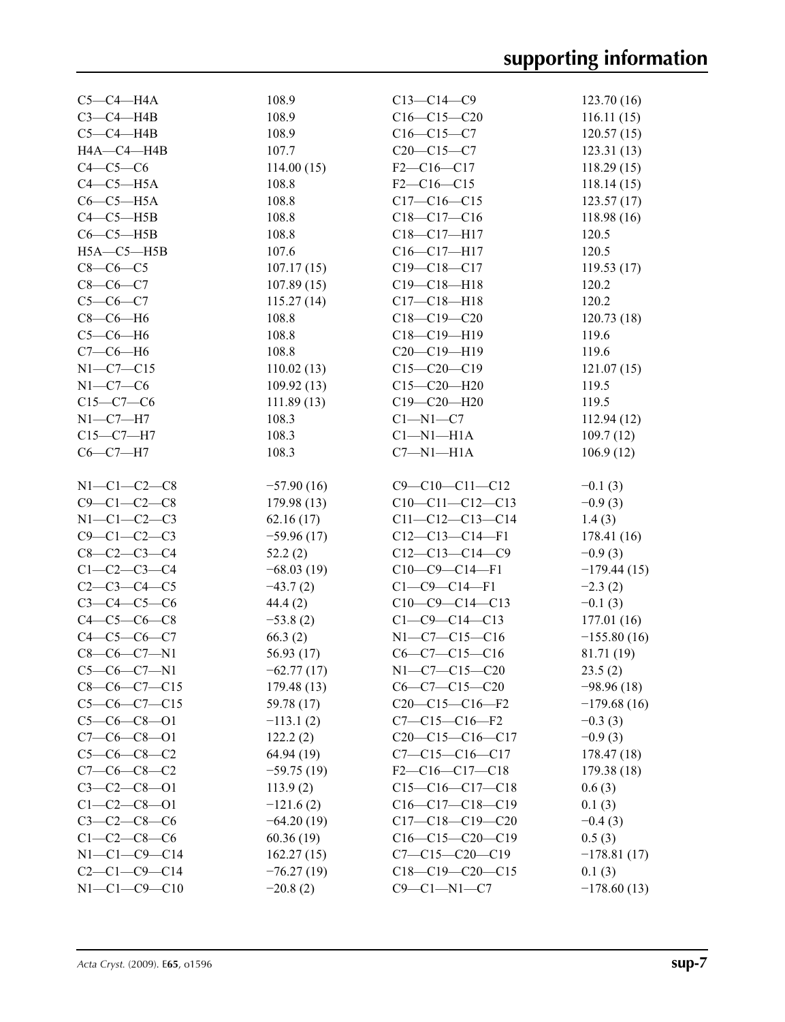| $C5-C4-H4A$          | 108.9        | $C13 - C14 - C9$       | 123.70(16)    |
|----------------------|--------------|------------------------|---------------|
| $C3-C4-HAB$          | 108.9        | $C16-C15-C20$          | 116.11(15)    |
| $C5-C4-H4B$          | 108.9        | $C16-C15-C7$           | 120.57(15)    |
| H4A-C4-H4B           | 107.7        | $C20-C15-C7$           | 123.31(13)    |
| $C4-C5-C6$           | 114.00(15)   | $F2-C16-C17$           | 118.29(15)    |
| $C4-C5-H5A$          | 108.8        | $F2-C16-C15$           | 118.14(15)    |
| $C6-C5-H5A$          | 108.8        | $C17 - C16 - C15$      | 123.57(17)    |
| $C4-C5-HSB$          | 108.8        | $C18-C17-C16$          | 118.98(16)    |
| $C6-C5-H5B$          | 108.8        | C18-C17-H17            | 120.5         |
| $H5A - C5 - H5B$     | 107.6        | $C16-C17-H17$          | 120.5         |
| $C8-C6-C5$           | 107.17(15)   | $C19 - C18 - C17$      | 119.53(17)    |
| $C8-C6-C7$           | 107.89(15)   | $C19 - C18 - H18$      | 120.2         |
| $C5-C6-C7$           | 115.27(14)   | $C17 - C18 - H18$      | 120.2         |
| $C8-C6-H6$           | 108.8        | $C18 - C19 - C20$      | 120.73(18)    |
|                      |              |                        | 119.6         |
| $C5-C6-H6$           | 108.8        | $C18-C19-H19$          |               |
| $C7-C6-H6$           | 108.8        | C20-C19-H19            | 119.6         |
| $N1 - C7 - C15$      | 110.02(13)   | $C15-C20-C19$          | 121.07(15)    |
| $N1-C7-C6$           | 109.92(13)   | $C15 - C20 - H20$      | 119.5         |
| $C15-C7-C6$          | 111.89(13)   | $C19 - C20 - H20$      | 119.5         |
| $N1 - C7 - H7$       | 108.3        | $C1 - N1 - C7$         | 112.94(12)    |
| $C15-C7-H7$          | 108.3        | $Cl-M1-H1A$            | 109.7(12)     |
| $C6-C7-H7$           | 108.3        | $C7 - N1 - H1A$        | 106.9(12)     |
| $N1 - C1 - C2 - C8$  |              | $C9 - C10 - C11 - C12$ |               |
| $C9 - C1 - C2 - C8$  | $-57.90(16)$ |                        | $-0.1(3)$     |
|                      | 179.98 (13)  | $C10-C11-C12-C13$      | $-0.9(3)$     |
| $N1-C1-C2-C3$        | 62.16(17)    | $C11-C12-C13-C14$      | 1.4(3)        |
| $C9 - C1 - C2 - C3$  | $-59.96(17)$ | $C12-C13-C14-F1$       | 178.41(16)    |
| $C8 - C2 - C3 - C4$  | 52.2(2)      | $C12-C13-C14-C9$       | $-0.9(3)$     |
| $C1 - C2 - C3 - C4$  | $-68.03(19)$ | $C10-C9-C14-F1$        | $-179.44(15)$ |
| $C2 - C3 - C4 - C5$  | $-43.7(2)$   | $C1 - C9 - C14 - F1$   | $-2.3(2)$     |
| $C3 - C4 - C5 - C6$  | 44.4(2)      | $C10-C9-C14-C13$       | $-0.1(3)$     |
| $C4 - C5 - C6 - C8$  | $-53.8(2)$   | $C1 - C9 - C14 - C13$  | 177.01 (16)   |
| $C4 - C5 - C6 - C7$  | 66.3(2)      | $N1-C7-C15-C16$        | $-155.80(16)$ |
| $C8-C6-C7-N1$        | 56.93 (17)   | $C6-C7-C15-C16$        | 81.71 (19)    |
| $C5-C6-C7-N1$        | $-62.77(17)$ | $N1-C7-C15-C20$        | 23.5(2)       |
| $C8-C6-C7-C15$       | 179.48(13)   | $C6-C7-C15-C20$        | $-98.96(18)$  |
| $C5-C6-C7-C15$       | 59.78 (17)   | $C20-C15-C16-F2$       | $-179.68(16)$ |
| $C5-C6-C8-O1$        | $-113.1(2)$  | $C7 - C15 - C16 - F2$  | $-0.3(3)$     |
| $C7-C6-C8-O1$        | 122.2(2)     | $C20-C15-C16-C17$      | $-0.9(3)$     |
| $C5-C6-C8-C2$        | 64.94 (19)   | $C7 - C15 - C16 - C17$ | 178.47 (18)   |
| $C7-C6-C8-C2$        | $-59.75(19)$ | $F2-C16-C17-C18$       | 179.38 (18)   |
| $C3 - C2 - C8 - 01$  | 113.9(2)     | $C15-C16-C17-C18$      | 0.6(3)        |
| $C1 - C2 - C8 - 01$  | $-121.6(2)$  | $C16-C17-C18-C19$      | 0.1(3)        |
| $C3 - C2 - C8 - C6$  | $-64.20(19)$ | $C17-C18-C19-C20$      | $-0.4(3)$     |
| $C1 - C2 - C8 - C6$  | 60.36(19)    | $C16-C15-C20-C19$      | 0.5(3)        |
| $N1 - C1 - C9 - C14$ | 162.27(15)   | $C7 - C15 - C20 - C19$ | $-178.81(17)$ |
| $C2 - C1 - C9 - C14$ | $-76.27(19)$ | $C18-C19-C20-C15$      | 0.1(3)        |
| $N1 - C1 - C9 - C10$ | $-20.8(2)$   | $C9 - C1 - N1 - C7$    | $-178.60(13)$ |
|                      |              |                        |               |